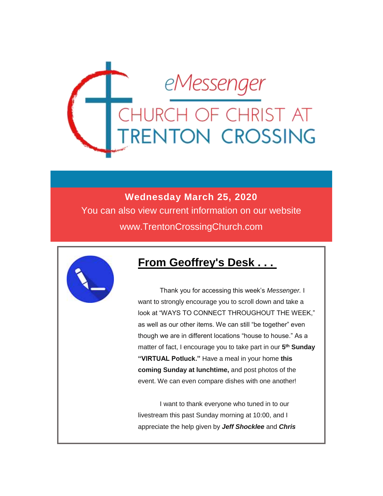

### **Wednesday March 25, 2020**

You can also view current information on our website www.TrentonCrossingChurch.com



### **From Geoffrey's Desk . . .**

 Thank you for accessing this week's *Messenger.* I want to strongly encourage you to scroll down and take a look at "WAYS TO CONNECT THROUGHOUT THE WEEK," as well as our other items. We can still "be together" even though we are in different locations "house to house." As a matter of fact, I encourage you to take part in our **5 th Sunday "VIRTUAL Potluck."** Have a meal in your home **this coming Sunday at lunchtime,** and post photos of the event. We can even compare dishes with one another!

 I want to thank everyone who tuned in to our livestream this past Sunday morning at 10:00, and I appreciate the help given by *Jeff Shocklee* and *Chris*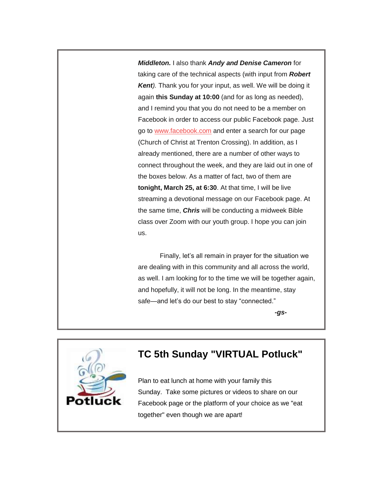*Middleton.* I also thank *Andy and Denise Cameron* for taking care of the technical aspects (with input from *Robert Kent).* Thank you for your input, as well. We will be doing it again **this Sunday at 10:00** (and for as long as needed), and I remind you that you do not need to be a member on Facebook in order to access our public Facebook page. Just go to [www.facebook.com](http://www.facebook.com/) and enter a search for our page (Church of Christ at Trenton Crossing). In addition, as I already mentioned, there are a number of other ways to connect throughout the week, and they are laid out in one of the boxes below. As a matter of fact, two of them are **tonight, March 25, at 6:30**. At that time, I will be live streaming a devotional message on our Facebook page. At the same time, *Chris* will be conducting a midweek Bible class over Zoom with our youth group. I hope you can join us.

 Finally, let's all remain in prayer for the situation we are dealing with in this community and all across the world, as well. I am looking for to the time we will be together again, and hopefully, it will not be long. In the meantime, stay safe—and let's do our best to stay "connected."

*-gs-*



### **TC 5th Sunday "VIRTUAL Potluck"**

Plan to eat lunch at home with your family this Sunday. Take some pictures or videos to share on our Facebook page or the platform of your choice as we "eat together" even though we are apart!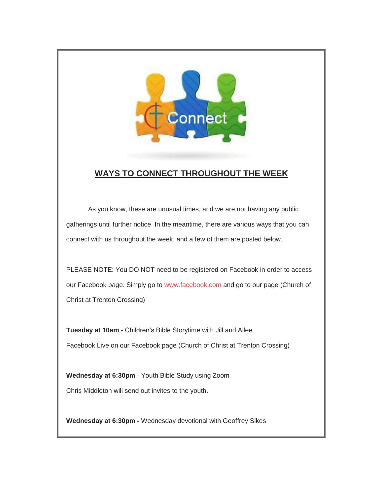

### **WAYS TO CONNECT THROUGHOUT THE WEEK**

 As you know, these are unusual times, and we are not having any public gatherings until further notice. In the meantime, there are various ways that you can connect with us throughout the week, and a few of them are posted below.

PLEASE NOTE: You DO NOT need to be registered on Facebook in order to access our Facebook page. Simply go to [www.facebook.com](http://www.facebook.com/) and go to our page (Church of Christ at Trenton Crossing)

**Tuesday at 10am** - Children's Bible Storytime with Jill and Allee Facebook Live on our Facebook page (Church of Christ at Trenton Crossing)

**Wednesday at 6:30pm** - Youth Bible Study using Zoom Chris Middleton will send out invites to the youth.

**Wednesday at 6:30pm -** Wednesday devotional with Geoffrey Sikes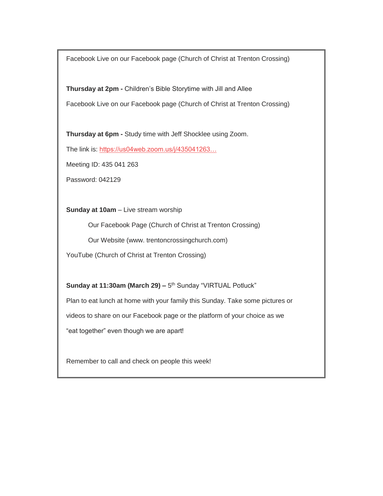Facebook Live on our Facebook page (Church of Christ at Trenton Crossing)

**Thursday at 2pm -** Children's Bible Storytime with Jill and Allee Facebook Live on our Facebook page (Church of Christ at Trenton Crossing)

**Thursday at 6pm -** Study time with Jeff Shocklee using Zoom.

The link is: [https://us04web.zoom.us/j/435041263…](https://us04web.zoom.us/j/435041263?pwd=VmxLSTRFam4yR05aYysrS0dUdG1DUT09&fbclid=IwAR1Sae16cnm2eKFEsXjBsAA_9yYOvvaygd0cngxvema1a_Umgic9wrccbrg)

Meeting ID: 435 041 263

Password: 042129

**Sunday at 10am** – Live stream worship

Our Facebook Page (Church of Christ at Trenton Crossing)

Our Website (www. trentoncrossingchurch.com)

YouTube (Church of Christ at Trenton Crossing)

Sunday at 11:30am (March 29) - 5<sup>th</sup> Sunday "VIRTUAL Potluck"

Plan to eat lunch at home with your family this Sunday. Take some pictures or

videos to share on our Facebook page or the platform of your choice as we

"eat together" even though we are apart!

Remember to call and check on people this week!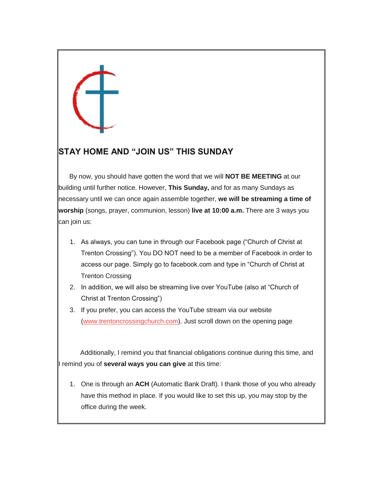### **STAY HOME AND "JOIN US" THIS SUNDAY**

By now, you should have gotten the word that we will **NOT BE MEETING** at our building until further notice. However, **This Sunday,** and for as many Sundays as necessary until we can once again assemble together, **we will be streaming a time of worship** (songs, prayer, communion, lesson) **live at 10:00 a.m.** There are 3 ways you can join us:

- 1. As always, you can tune in through our Facebook page ("Church of Christ at Trenton Crossing"). You DO NOT need to be a member of Facebook in order to access our page. Simply go to facebook.com and type in "Church of Christ at Trenton Crossing
- 2. In addition, we will also be streaming live over YouTube (also at "Church of Christ at Trenton Crossing")
- 3. If you prefer, you can access the YouTube stream via our website [\(www.trentoncrossingchurch.com\)](http://www.trentoncrossingchurch.com/). Just scroll down on the opening page

 Additionally, I remind you that financial obligations continue during this time, and I remind you of **several ways you can give** at this time:

1. One is through an **ACH** (Automatic Bank Draft). I thank those of you who already have this method in place. If you would like to set this up, you may stop by the office during the week.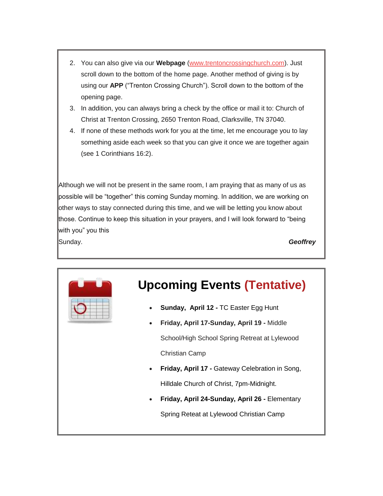- 2. You can also give via our **Webpage** [\(www.trentoncrossingchurch.com\)](http://www.trentoncrossingchurch.com/). Just scroll down to the bottom of the home page. Another method of giving is by using our **APP** ("Trenton Crossing Church"). Scroll down to the bottom of the opening page.
- 3. In addition, you can always bring a check by the office or mail it to: Church of Christ at Trenton Crossing, 2650 Trenton Road, Clarksville, TN 37040.
- 4. If none of these methods work for you at the time, let me encourage you to lay something aside each week so that you can give it once we are together again (see 1 Corinthians 16:2).

Although we will not be present in the same room, I am praying that as many of us as possible will be "together" this coming Sunday morning. In addition, we are working on other ways to stay connected during this time, and we will be letting you know about those. Continue to keep this situation in your prayers, and I will look forward to "being with you" you this

Sunday. *Geoffrey*

# **Upcoming Events (Tentative)**

- **Sunday, April 12 -** TC Easter Egg Hunt
- **Friday, April 17-Sunday, April 19 -** Middle School/High School Spring Retreat at Lylewood Christian Camp
- **Friday, April 17 -** Gateway Celebration in Song, Hilldale Church of Christ, 7pm-Midnight.
- **Friday, April 24-Sunday, April 26 -** Elementary Spring Reteat at Lylewood Christian Camp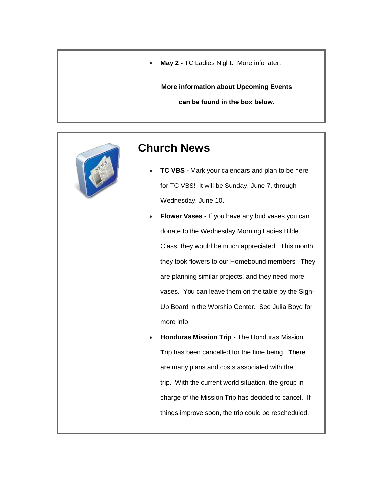**May 2 -** TC Ladies Night. More info later.

**More information about Upcoming Events**

**can be found in the box below.**



### **Church News**

- **TC VBS -** Mark your calendars and plan to be here for TC VBS! It will be Sunday, June 7, through Wednesday, June 10.
- **Flower Vases -** If you have any bud vases you can donate to the Wednesday Morning Ladies Bible Class, they would be much appreciated. This month, they took flowers to our Homebound members. They are planning similar projects, and they need more vases. You can leave them on the table by the Sign-Up Board in the Worship Center. See Julia Boyd for more info.
- **Honduras Mission Trip -** The Honduras Mission Trip has been cancelled for the time being. There are many plans and costs associated with the trip. With the current world situation, the group in charge of the Mission Trip has decided to cancel. If things improve soon, the trip could be rescheduled.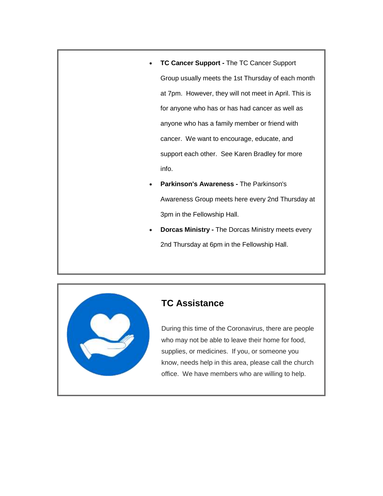- **TC Cancer Support -** The TC Cancer Support Group usually meets the 1st Thursday of each month at 7pm. However, they will not meet in April. This is for anyone who has or has had cancer as well as anyone who has a family member or friend with cancer. We want to encourage, educate, and support each other. See Karen Bradley for more info.
- **Parkinson's Awareness -** The Parkinson's Awareness Group meets here every 2nd Thursday at 3pm in the Fellowship Hall.
- **Dorcas Ministry -** The Dorcas Ministry meets every 2nd Thursday at 6pm in the Fellowship Hall.



#### **TC Assistance**

During this time of the Coronavirus, there are people who may not be able to leave their home for food, supplies, or medicines. If you, or someone you know, needs help in this area, please call the church office. We have members who are willing to help.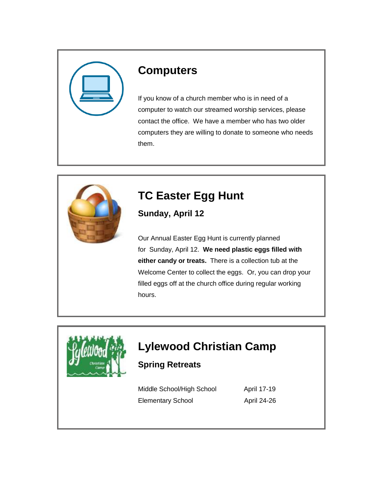

### **Computers**

If you know of a church member who is in need of a computer to watch our streamed worship services, please contact the office. We have a member who has two older computers they are willing to donate to someone who needs them.



# **TC Easter Egg Hunt**

**Sunday, April 12**

Our Annual Easter Egg Hunt is currently planned for Sunday, April 12. **We need plastic eggs filled with either candy or treats.** There is a collection tub at the Welcome Center to collect the eggs. Or, you can drop your filled eggs off at the church office during regular working hours.



# **Lylewood Christian Camp**

**Spring Retreats**

Middle School/High School April 17-19 Elementary School April 24-26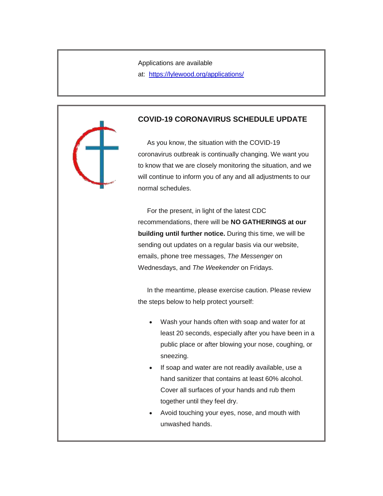Applications are available

at: <https://lylewood.org/applications/>

#### **COVID-19 CORONAVIRUS SCHEDULE UPDATE**

 As you know, the situation with the COVID-19 coronavirus outbreak is continually changing. We want you to know that we are closely monitoring the situation, and we will continue to inform you of any and all adjustments to our normal schedules.

 For the present, in light of the latest CDC recommendations, there will be **NO GATHERINGS at our building until further notice.** During this time, we will be sending out updates on a regular basis via our website, emails, phone tree messages, *The Messenger* on Wednesdays, and *The Weekender* on Fridays.

 In the meantime, please exercise caution. Please review the steps below to help protect yourself:

- Wash your hands often with soap and water for at least 20 seconds, especially after you have been in a public place or after blowing your nose, coughing, or sneezing.
- If soap and water are not readily available, use a hand sanitizer that contains at least 60% alcohol. Cover all surfaces of your hands and rub them together until they feel dry.
- Avoid touching your eyes, nose, and mouth with unwashed hands.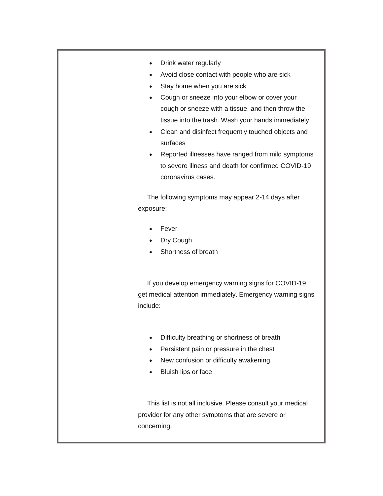- Drink water regularly
- Avoid close contact with people who are sick
- Stay home when you are sick
- Cough or sneeze into your elbow or cover your cough or sneeze with a tissue, and then throw the tissue into the trash. Wash your hands immediately
- Clean and disinfect frequently touched objects and surfaces
- Reported illnesses have ranged from mild symptoms to severe illness and death for confirmed COVID-19 coronavirus cases.

 The following symptoms may appear 2-14 days after exposure:

- Fever
- Dry Cough
- Shortness of breath

 If you develop emergency warning signs for COVID-19, get medical attention immediately. Emergency warning signs include:

- Difficulty breathing or shortness of breath
- Persistent pain or pressure in the chest
- New confusion or difficulty awakening
- Bluish lips or face

 This list is not all inclusive. Please consult your medical provider for any other symptoms that are severe or concerning.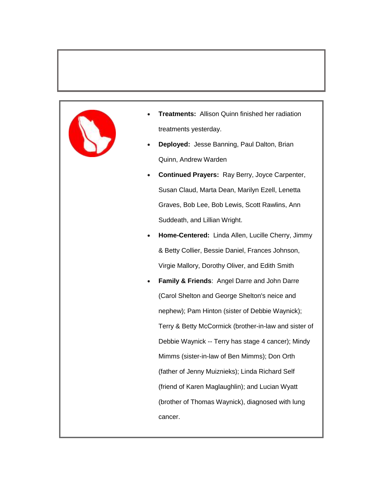

- **Treatments:** Allison Quinn finished her radiation treatments yesterday.
- **Deployed:** Jesse Banning, Paul Dalton, Brian Quinn, Andrew Warden
- **Continued Prayers:** Ray Berry, Joyce Carpenter, Susan Claud, Marta Dean, Marilyn Ezell, Lenetta Graves, Bob Lee, Bob Lewis, Scott Rawlins, Ann Suddeath, and Lillian Wright.
- **Home-Centered:** Linda Allen, Lucille Cherry, Jimmy & Betty Collier, Bessie Daniel, Frances Johnson, Virgie Mallory, Dorothy Oliver, and Edith Smith
	- **Family & Friends**: Angel Darre and John Darre (Carol Shelton and George Shelton's neice and nephew); Pam Hinton (sister of Debbie Waynick); Terry & Betty McCormick (brother-in-law and sister of Debbie Waynick -- Terry has stage 4 cancer); Mindy Mimms (sister-in-law of Ben Mimms); Don Orth (father of Jenny Muiznieks); Linda Richard Self (friend of Karen Maglaughlin); and Lucian Wyatt (brother of Thomas Waynick), diagnosed with lung cancer.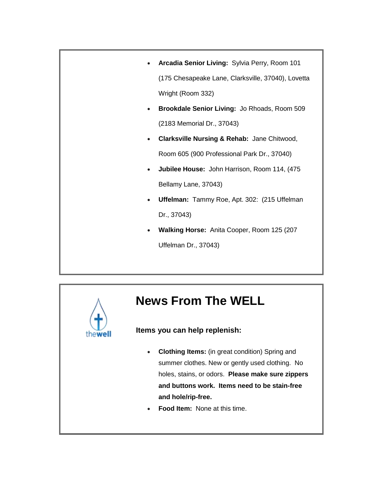- **Arcadia Senior Living:** Sylvia Perry, Room 101 (175 Chesapeake Lane, Clarksville, 37040), Lovetta Wright (Room 332)
- **Brookdale Senior Living:** Jo Rhoads, Room 509 (2183 Memorial Dr., 37043)
- **Clarksville Nursing & Rehab:** Jane Chitwood, Room 605 (900 Professional Park Dr., 37040)
- **Jubilee House:** John Harrison, Room 114, (475 Bellamy Lane, 37043)
- **Uffelman:** Tammy Roe, Apt. 302: (215 Uffelman Dr., 37043)
- **Walking Horse:** Anita Cooper, Room 125 (207 Uffelman Dr., 37043)

# **News From The WELL**

#### **Items you can help replenish:**

- **Clothing Items:** (in great condition) Spring and summer clothes. New or gently used clothing. No holes, stains, or odors. **Please make sure zippers and buttons work. Items need to be stain-free and hole/rip-free.**
- **Food Item:** None at this time.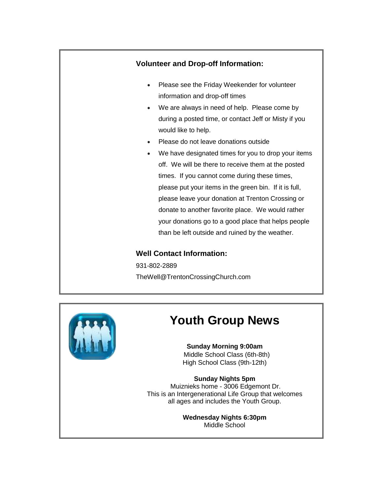

#### **Well Contact Information:**

931-802-2889 TheWell@TrentonCrossingChurch.com



## **Youth Group News**

**Sunday Morning 9:00am** Middle School Class (6th-8th) High School Class (9th-12th)

**Sunday Nights 5pm** Muiznieks home - 3006 Edgemont Dr. This is an Intergenerational Life Group that welcomes all ages and includes the Youth Group.

> **Wednesday Nights 6:30pm** Middle School